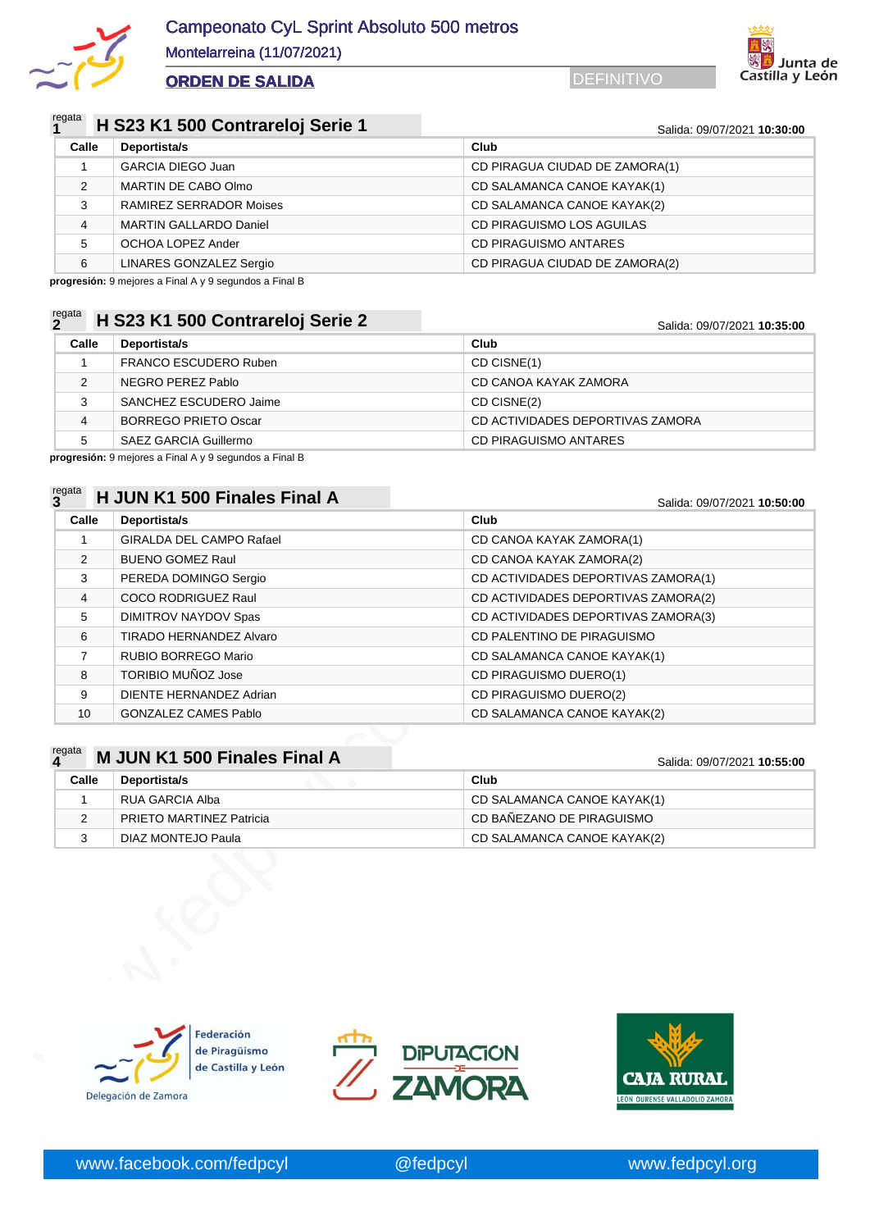



### regata **<sup>1</sup> H S23 K1 500 Contrareloj Serie 1** Salida: 09/07/2021 **10:30:00**

| Calle | Deportista/s                   | Club                           |
|-------|--------------------------------|--------------------------------|
|       | <b>GARCIA DIEGO Juan</b>       | CD PIRAGUA CIUDAD DE ZAMORA(1) |
| 2     | MARTIN DE CABO Olmo            | CD SALAMANCA CANOE KAYAK(1)    |
| 3     | <b>RAMIREZ SERRADOR Moises</b> | CD SALAMANCA CANOE KAYAK(2)    |
| 4     | <b>MARTIN GALLARDO Daniel</b>  | CD PIRAGUISMO LOS AGUILAS      |
| -5    | OCHOA LOPEZ Ander              | CD PIRAGUISMO ANTARES          |
| 6     | LINARES GONZALEZ Sergio        | CD PIRAGUA CIUDAD DE ZAMORA(2) |

**progresión:** 9 mejores a Final A y 9 segundos a Final B

## regata **<sup>2</sup> H S23 K1 500 Contrareloj Serie 2** Salida: 09/07/2021 **10:35:00**

| Calle | Deportista/s                 | Club                             |
|-------|------------------------------|----------------------------------|
|       | <b>FRANCO ESCUDERO Ruben</b> | CD CISNE(1)                      |
| າ     | NEGRO PEREZ Pablo            | CD CANOA KAYAK ZAMORA            |
| 3     | SANCHEZ ESCUDERO Jaime       | CD CISNE(2)                      |
| 4     | <b>BORREGO PRIETO Oscar</b>  | CD ACTIVIDADES DEPORTIVAS ZAMORA |
|       | SAEZ GARCIA Guillermo        | CD PIRAGUISMO ANTARES            |

**progresión:** 9 mejores a Final A y 9 segundos a Final B

### regata **<sup>3</sup> H JUN K1 500 Finales Final A** Salida: 09/07/2021 **10:50:00**

| ້              |                                 | <u>Jaliua. V<i>alvi i L</i>UZ I</u> <b>10.JU.UU</b> |  |
|----------------|---------------------------------|-----------------------------------------------------|--|
| Calle          | Deportista/s                    | Club                                                |  |
|                | <b>GIRALDA DEL CAMPO Rafael</b> | CD CANOA KAYAK ZAMORA(1)                            |  |
| 2              | <b>BUENO GOMEZ Raul</b>         | CD CANOA KAYAK ZAMORA(2)                            |  |
| 3              | PEREDA DOMINGO Sergio           | CD ACTIVIDADES DEPORTIVAS ZAMORA(1)                 |  |
| $\overline{4}$ | <b>COCO RODRIGUEZ Raul</b>      | CD ACTIVIDADES DEPORTIVAS ZAMORA(2)                 |  |
| 5              | DIMITROV NAYDOV Spas            | CD ACTIVIDADES DEPORTIVAS ZAMORA(3)                 |  |
| 6              | <b>TIRADO HERNANDEZ Alvaro</b>  | CD PALENTINO DE PIRAGUISMO                          |  |
| 7              | RUBIO BORREGO Mario             | CD SALAMANCA CANOE KAYAK(1)                         |  |
| 8              | TORIBIO MUÑOZ Jose              | CD PIRAGUISMO DUERO(1)                              |  |
| 9              | DIENTE HERNANDEZ Adrian         | CD PIRAGUISMO DUERO(2)                              |  |
| 10             | <b>GONZALEZ CAMES Pablo</b>     | CD SALAMANCA CANOE KAYAK(2)                         |  |

### **M** JUN K1 500 Finales Final A Salida: 09/07/2021 10:55:00

| 8              | TORIBIO MUÑOZ Jose           | CD PIRAGUISMO DUERO(1)      |
|----------------|------------------------------|-----------------------------|
| 9              | DIENTE HERNANDEZ Adrian      | CD PIRAGUISMO DUERO(2)      |
| 10             | <b>GONZALEZ CAMES Pablo</b>  | CD SALAMANCA CANOE KAYAK(2) |
|                |                              |                             |
| regata<br>4    | M JUN K1 500 Finales Final A | Salida: 09/07/2021 10:55:00 |
| Calle          | Deportista/s                 | Club                        |
| 1              | <b>RUA GARCIA Alba</b>       | CD SALAMANCA CANOE KAYAK(1) |
| $\overline{2}$ | PRIETO MARTINEZ Patricia     | CD BAÑEZANO DE PIRAGUISMO   |
| 3              | DIAZ MONTEJO Paula           | CD SALAMANCA CANOE KAYAK(2) |
|                |                              |                             |
|                |                              |                             |





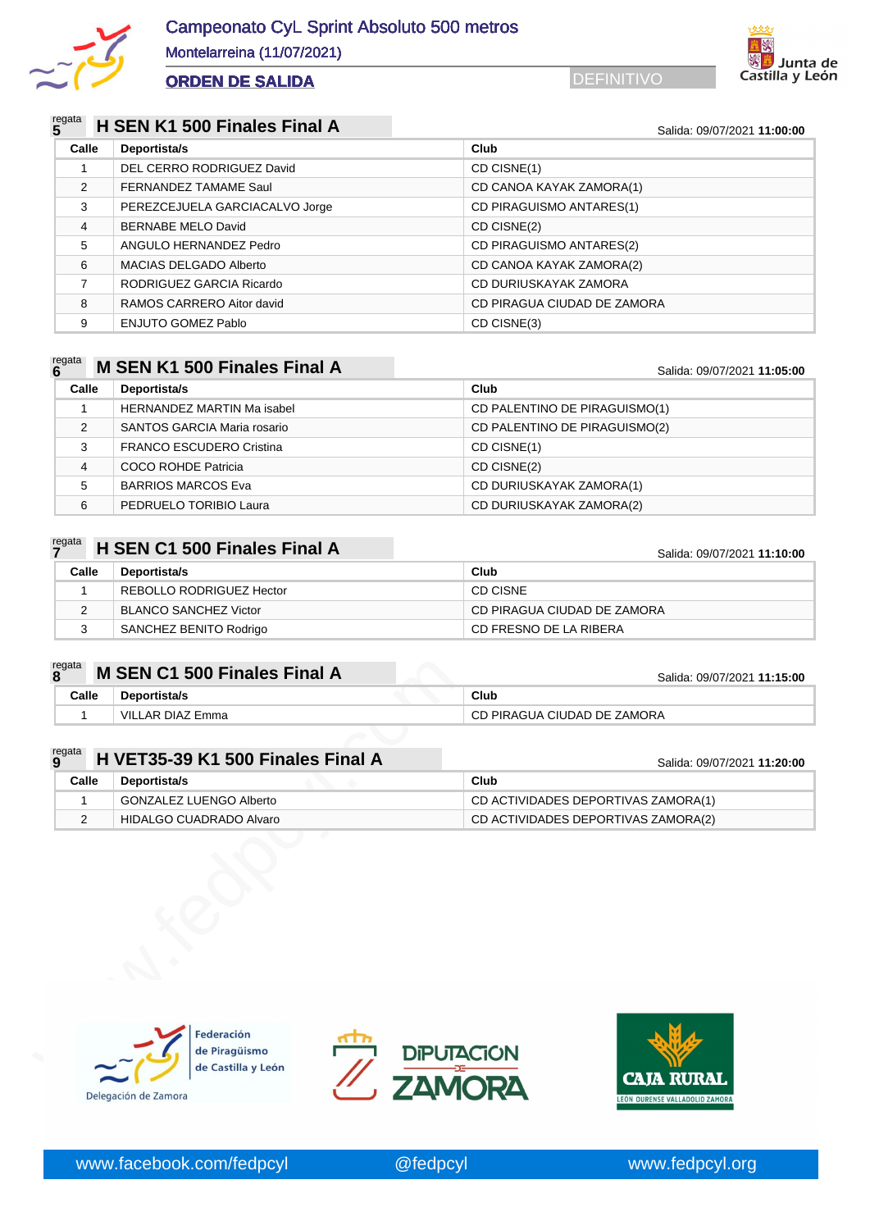



### regata **<sup>5</sup> H SEN K1 500 Finales Final A** Salida: 09/07/2021 **11:00:00**

| Calle         | Deportista/s                   | Club                        |
|---------------|--------------------------------|-----------------------------|
|               | DEL CERRO RODRIGUEZ David      | CD CISNE(1)                 |
| $\mathcal{P}$ | FERNANDEZ TAMAME Saul          | CD CANOA KAYAK ZAMORA(1)    |
| 3             | PEREZCEJUELA GARCIACALVO Jorge | CD PIRAGUISMO ANTARES(1)    |
| 4             | <b>BERNABE MELO David</b>      | CD CISNE(2)                 |
| 5             | ANGULO HERNANDEZ Pedro         | CD PIRAGUISMO ANTARES(2)    |
| 6             | <b>MACIAS DELGADO Alberto</b>  | CD CANOA KAYAK ZAMORA(2)    |
|               | RODRIGUEZ GARCIA Ricardo       | CD DURIUSKAYAK ZAMORA       |
| 8             | RAMOS CARRERO Aitor david      | CD PIRAGUA CIUDAD DE ZAMORA |
| 9             | ENJUTO GOMEZ Pablo             | CD CISNE(3)                 |

### regata **<sup>6</sup> M SEN K1 500 Finales Final A** Salida: 09/07/2021 **11:05:00**

| Calle | Deportista/s                      | Club                          |
|-------|-----------------------------------|-------------------------------|
|       | <b>HERNANDEZ MARTIN Ma isabel</b> | CD PALENTINO DE PIRAGUISMO(1) |
| 2     | SANTOS GARCIA Maria rosario       | CD PALENTINO DE PIRAGUISMO(2) |
| 3     | <b>FRANCO ESCUDERO Cristina</b>   | CD CISNE(1)                   |
| 4     | COCO ROHDE Patricia               | CD CISNE(2)                   |
| 5     | <b>BARRIOS MARCOS Eva</b>         | CD DURIUSKAYAK ZAMORA(1)      |
| 6     | PEDRUELO TORIBIO Laura            | CD DURIUSKAYAK ZAMORA(2)      |

| $Z^{\text{egata}}$ H SEN C1 500 Finales Final A |  |
|-------------------------------------------------|--|
|-------------------------------------------------|--|

### regata **<sup>7</sup> H SEN C1 500 Finales Final A** Salida: 09/07/2021 **11:10:00**

| Calle | Deportista/s             | Club                        |
|-------|--------------------------|-----------------------------|
|       | REBOLLO RODRIGUEZ Hector | CD CISNE                    |
|       | BLANCO SANCHEZ Victor    | CD PIRAGUA CIUDAD DE ZAMORA |
|       | SANCHEZ BENITO Rodrigo   | CD FRESNO DE LA RIBERA      |

| regata |       | M SEN C1 500 Finales Final A | Salida: 09/07/2021 11:15:00 |
|--------|-------|------------------------------|-----------------------------|
|        | Calle | <b>Deportista/s</b>          | Club                        |
|        |       | VILLAR DIAZ Emma             | CD PIRAGUA CIUDAD DE ZAMORA |

|             | <b>M SEN C1 500 Finales Final A</b> | Salida: 09/07/2021 11:15:00         |
|-------------|-------------------------------------|-------------------------------------|
| Calle       | Deportista/s                        | Club                                |
| 1           | <b>VILLAR DIAZ Emma</b>             | CD PIRAGUA CIUDAD DE ZAMORA         |
|             |                                     |                                     |
| regata<br>9 | H VET35-39 K1 500 Finales Final A   | Salida: 09/07/2021 11:20:00         |
| Calle       | Deportista/s                        | Club                                |
| 1           | GONZALEZ LUENGO Alberto             | CD ACTIVIDADES DEPORTIVAS ZAMORA(1) |
| 2           | HIDALGO CUADRADO Alvaro             | CD ACTIVIDADES DEPORTIVAS ZAMORA(2) |
|             |                                     |                                     |
|             |                                     |                                     |





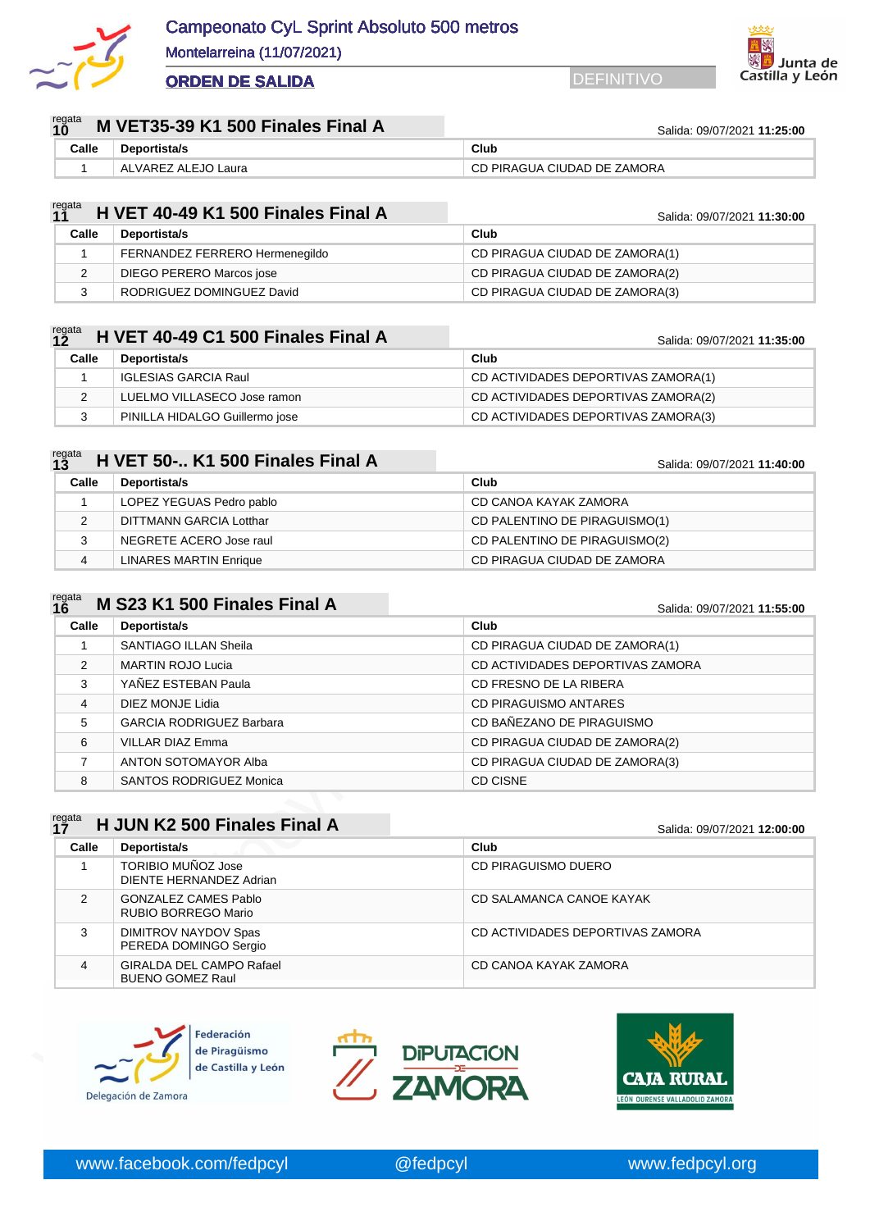



| regata<br><b>10</b><br>M VET35-39 K1 500 Finales Final A |       |                     | Salida: 09/07/2021 11:25:00 |  |
|----------------------------------------------------------|-------|---------------------|-----------------------------|--|
|                                                          | Calle | <b>Deportista/s</b> | Club                        |  |
|                                                          |       | ALVAREZ ALEJO Laura | CD PIRAGUA CIUDAD DE ZAMORA |  |

| regata<br><b>11</b><br>H VET 40-49 K1 500 Finales Final A |       |                                 | Salida: 09/07/2021 11:30:00    |  |
|-----------------------------------------------------------|-------|---------------------------------|--------------------------------|--|
|                                                           | Calle | Deportista/s                    | Club                           |  |
|                                                           |       | FERNANDEZ FERRERO Hermenegildo  | CD PIRAGUA CIUDAD DE ZAMORA(1) |  |
|                                                           |       | <b>DIEGO PERERO Marcos jose</b> | CD PIRAGUA CIUDAD DE ZAMORA(2) |  |
|                                                           |       | RODRIGUEZ DOMINGUEZ David       | CD PIRAGUA CIUDAD DE ZAMORA(3) |  |

| regata<br><b>12</b> |       | H VET 40-49 C1 500 Finales Final A | Salida: 09/07/2021 11:35:00         |  |
|---------------------|-------|------------------------------------|-------------------------------------|--|
|                     | Calle | Deportista/s                       | Club                                |  |
|                     |       | <b>IGLESIAS GARCIA Raul</b>        | CD ACTIVIDADES DEPORTIVAS ZAMORA(1) |  |
|                     |       | LUELMO VILLASECO Jose ramon        | CD ACTIVIDADES DEPORTIVAS ZAMORA(2) |  |
|                     |       | PINILLA HIDALGO Guillermo jose     | CD ACTIVIDADES DEPORTIVAS ZAMORA(3) |  |

| regata<br><b>13</b><br>H VET 50- K1 500 Finales Final A |       |                               | Salida: 09/07/2021 11:40:00   |  |
|---------------------------------------------------------|-------|-------------------------------|-------------------------------|--|
|                                                         | Calle | Deportista/s                  | Club                          |  |
|                                                         |       | LOPEZ YEGUAS Pedro pablo      | CD CANOA KAYAK ZAMORA         |  |
|                                                         |       | DITTMANN GARCIA Lotthar       | CD PALENTINO DE PIRAGUISMO(1) |  |
|                                                         | 3     | NEGRETE ACERO Jose raul       | CD PALENTINO DE PIRAGUISMO(2) |  |
|                                                         | 4     | <b>LINARES MARTIN Enrique</b> | CD PIRAGUA CIUDAD DE ZAMORA   |  |

| regata<br><b>16</b> | M S23 K1 500 Finales Final A    | Salida: 09/07/2021 11:55:00      |  |
|---------------------|---------------------------------|----------------------------------|--|
| Calle               | Deportista/s                    | Club                             |  |
|                     | SANTIAGO ILLAN Sheila           | CD PIRAGUA CIUDAD DE ZAMORA(1)   |  |
| $\mathcal{P}$       | <b>MARTIN ROJO Lucia</b>        | CD ACTIVIDADES DEPORTIVAS ZAMORA |  |
| 3                   | YAÑEZ ESTEBAN Paula             | CD FRESNO DE LA RIBERA           |  |
| 4                   | DIEZ MONJE Lidia                | <b>CD PIRAGUISMO ANTARES</b>     |  |
| 5                   | <b>GARCIA RODRIGUEZ Barbara</b> | CD BAÑEZANO DE PIRAGUISMO        |  |
| 6                   | <b>VILLAR DIAZ Emma</b>         | CD PIRAGUA CIUDAD DE ZAMORA(2)   |  |
| 7                   | ANTON SOTOMAYOR Alba            | CD PIRAGUA CIUDAD DE ZAMORA(3)   |  |
| 8                   | <b>SANTOS RODRIGUEZ Monica</b>  | CD CISNE                         |  |

# 2 MARTIN ROJO Lucia<br>
4 DIEZ MONJE Lidia<br>
6 GARCIA RODRIGUEZ Barbara<br>
6 VILLAR DIAZ Emma<br>
7 ANTON SOTOMAYOR Alba<br>
8 SANTOS RODRIGUEZ Monica<br>
7 ANTON SOTOMAYOR Alba<br>
8 SANTOS RODRIGUEZ Monica<br>
1 TORIBIO MUÑOZ Jose<br>
1 DICINTE regata<br>**17 17 17 17 17 17 12:00:00 12:00:00 12:00:00 12:00:00 12:00:00 12:00:00 12:00:00 12:00:00 12:00:00 Calle Deportista/s Club** 1 TORIBIO MUÑOZ Jose DIENTE HERNANDEZ Adrian CD PIRAGUISMO DUERO 2 | GONZALEZ CAMES Pablo RUBIO BORREGO Mario CD SALAMANCA CANOE KAYAK 3 DIMITROV NAYDOV Spas PEREDA DOMINGO Sergio CD ACTIVIDADES DEPORTIVAS ZAMORA 4 GIRALDA DEL CAMPO Rafael BUENO GOMEZ Raul CD CANOA KAYAK ZAMORA





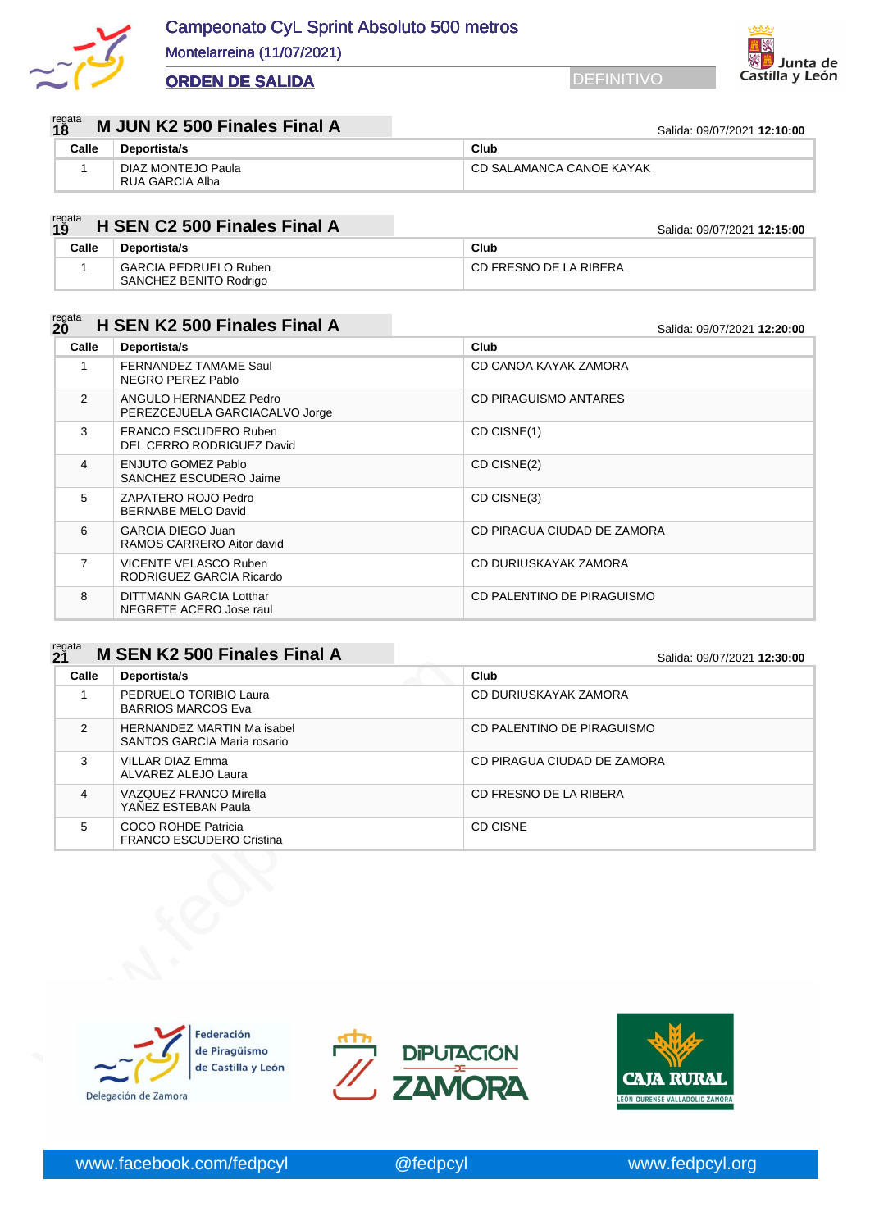



#### regata<br>19 **18 18 M** JUN K2 500 Finales Final A Salida: 09/07/2021 12:10:00

Montelarreina (11/07/2021)

| .     |                                       | $U$ aliya. $U$ <i>aliyi i</i> zuzi <b>iz. iv. vv</b> |  |
|-------|---------------------------------------|------------------------------------------------------|--|
| Calle | <b>Deportista/s</b>                   | Club                                                 |  |
|       | DIAZ MONTEJO Paula<br>RUA GARCIA Alba | CD SALAMANCA CANOE KAYAK                             |  |

#### regata **19 19 199 <b>199 12:15:00 12:15:00 12:15:00 12:15:00 12:15:00 12:15:00**

| - 19  |                                                        | <u> Jaliua. Uy/U7/ZUZT <b>12.19.00</b></u> |
|-------|--------------------------------------------------------|--------------------------------------------|
| Calle | Deportista/s                                           | Club                                       |
|       | <b>GARCIA PEDRUELO Ruben</b><br>SANCHEZ BENITO Rodrigo | CD FRESNO DE LA RIBERA                     |

#### regata<br>20 **200 Einales Final A** Salida: 09/07/2021 **12:20:00**

| Calle          | Deportista/s                                             | Club                         |
|----------------|----------------------------------------------------------|------------------------------|
|                | FERNANDEZ TAMAME Saul<br>NEGRO PEREZ Pablo               | CD CANOA KAYAK ZAMORA        |
| $\mathcal{P}$  | ANGULO HERNANDEZ Pedro<br>PEREZCEJUELA GARCIACALVO Jorge | <b>CD PIRAGUISMO ANTARES</b> |
| 3              | FRANCO ESCUDERO Ruben<br>DEL CERRO RODRIGUEZ David       | CD CISNE(1)                  |
| 4              | <b>ENJUTO GOMEZ Pablo</b><br>SANCHEZ ESCUDERO Jaime      | CD CISNE(2)                  |
| 5.             | ZAPATERO ROJO Pedro<br>BERNABE MELO David                | CD CISNE(3)                  |
| 6              | <b>GARCIA DIEGO Juan</b><br>RAMOS CARRERO Aitor david    | CD PIRAGUA CIUDAD DE ZAMORA  |
| $\overline{7}$ | VICENTE VELASCO Ruben<br>RODRIGUEZ GARCIA Ricardo        | CD DURIUSKAYAK ZAMORA        |
| 8              | DITTMANN GARCIA Lotthar<br>NEGRETE ACERO Jose raul       | CD PALENTINO DE PIRAGUISMO   |

#### regata<br>**21 21 <b>M** SEN K2 500 Finales Final A Salida: 09/07/2021 **12:30:00**

| $\mathbf{1}$<br>2<br>3<br>$\overline{4}$<br>5 | Deportista/s<br>PEDRUELO TORIBIO Laura<br><b>BARRIOS MARCOS Eva</b><br><b>HERNANDEZ MARTIN Ma isabel</b><br><b>SANTOS GARCIA Maria rosario</b><br><b>VILLAR DIAZ Emma</b><br>ALVAREZ ALEJO Laura<br><b>VAZQUEZ FRANCO Mirella</b><br>YAÑEZ ESTEBAN Paula<br><b>COCO ROHDE Patricia</b> |                 | CD DURIUSKAYAK ZAMORA<br>CD PALENTINO DE PIRAGUISMO<br>CD PIRAGUA CIUDAD DE ZAMORA<br>CD FRESNO DE LA RIBERA |
|-----------------------------------------------|----------------------------------------------------------------------------------------------------------------------------------------------------------------------------------------------------------------------------------------------------------------------------------------|-----------------|--------------------------------------------------------------------------------------------------------------|
|                                               |                                                                                                                                                                                                                                                                                        |                 |                                                                                                              |
|                                               |                                                                                                                                                                                                                                                                                        |                 |                                                                                                              |
|                                               |                                                                                                                                                                                                                                                                                        |                 |                                                                                                              |
|                                               |                                                                                                                                                                                                                                                                                        |                 |                                                                                                              |
|                                               | FRANCO ESCUDERO Cristina                                                                                                                                                                                                                                                               | <b>CD CISNE</b> |                                                                                                              |
|                                               |                                                                                                                                                                                                                                                                                        |                 |                                                                                                              |